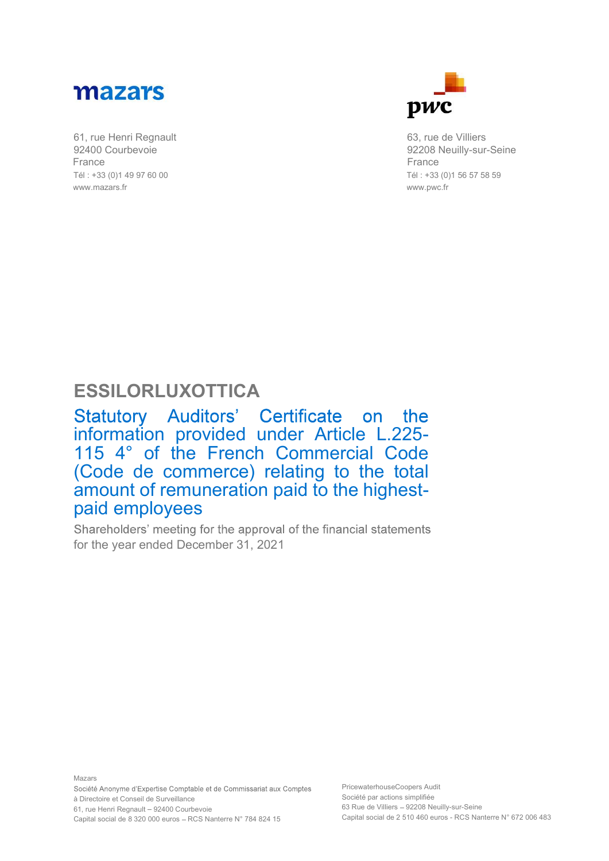

92400 Courbevoie France Tél : +33 (0)1 49 97 60 00 www.mazars.fr



63, rue de Villiers 92208 Neuilly-sur-Seine France Tél : +33 (0)1 56 57 58 59 www.pwc.fr

## ESSILORLUXOTTICA

Statutory Auditors' Certificate on the<br>information provided under Article L.225-115 4° of the French Commercial Code (Code de commerce) relating to the total amount of remuneration paid to the highestpaid employees

Shareholders' meeting for the approval of the financial statements for the year ended December 31, 2021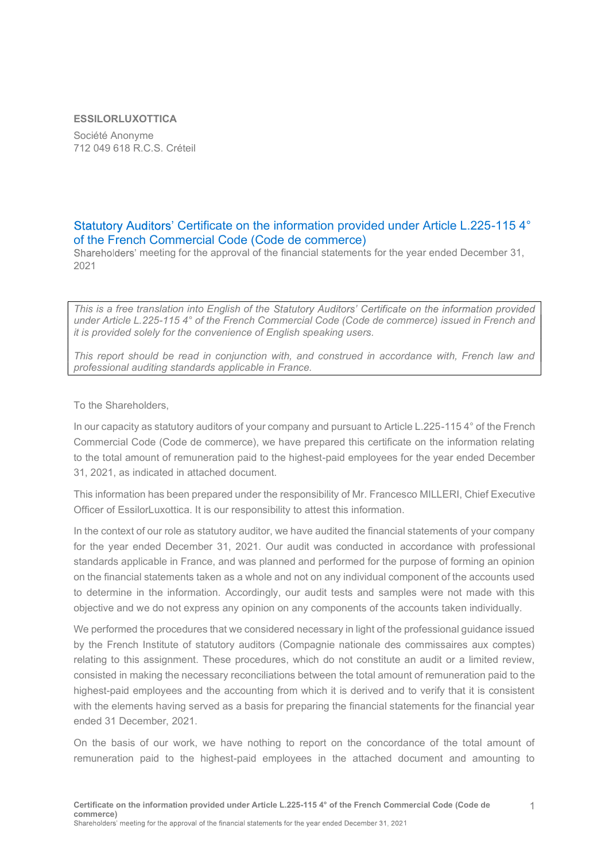## ESSILORLUXOTTICA

Société Anonyme 712 049 618 R.C.S. Créteil

## Statutory Auditors' Certificate on the information provided under Article L.225-115 4° of the French Commercial Code (Code de commerce)

Shareholders' meeting for the approval of the financial statements for the year ended December 31, 2021

This is a free translation into English of the Statutory Auditors' Certificate on the information provided under Article L.225-115 4° of the French Commercial Code (Code de commerce) issued in French and it is provided solely for the convenience of English speaking users.

This report should be read in conjunction with, and construed in accordance with, French law and professional auditing standards applicable in France.

To the Shareholders,

In our capacity as statutory auditors of your company and pursuant to Article L.225-115 4° of the French Commercial Code (Code de commerce), we have prepared this certificate on the information relating to the total amount of remuneration paid to the highest-paid employees for the year ended December 31, 2021, as indicated in attached document.

This information has been prepared under the responsibility of Mr. Francesco MILLERI, Chief Executive Officer of EssilorLuxottica. It is our responsibility to attest this information.

In the context of our role as statutory auditor, we have audited the financial statements of your company for the year ended December 31, 2021. Our audit was conducted in accordance with professional standards applicable in France, and was planned and performed for the purpose of forming an opinion on the financial statements taken as a whole and not on any individual component of the accounts used to determine in the information. Accordingly, our audit tests and samples were not made with this objective and we do not express any opinion on any components of the accounts taken individually.

We performed the procedures that we considered necessary in light of the professional guidance issued by the French Institute of statutory auditors (Compagnie nationale des commissaires aux comptes) relating to this assignment. These procedures, which do not constitute an audit or a limited review, consisted in making the necessary reconciliations between the total amount of remuneration paid to the highest-paid employees and the accounting from which it is derived and to verify that it is consistent with the elements having served as a basis for preparing the financial statements for the financial year ended 31 December, 2021.

On the basis of our work, we have nothing to report on the concordance of the total amount of remuneration paid to the highest-paid employees in the attached document and amounting to